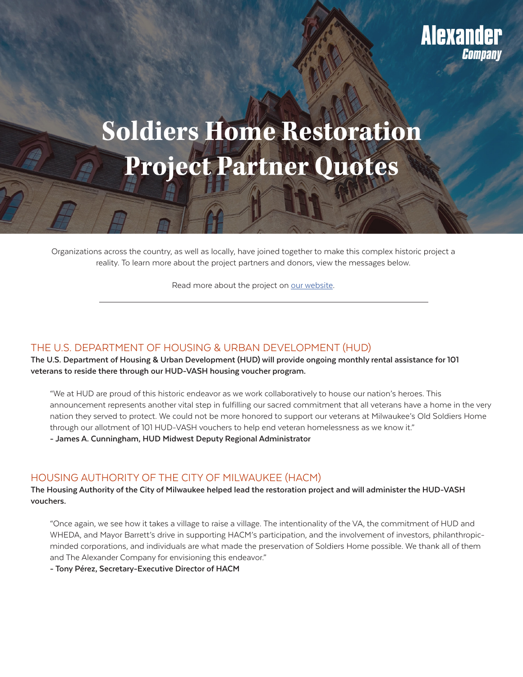# **Soldiers Home Restoration Project Partner Quotes**

Organizations across the country, as well as locally, have joined together to make this complex historic project a reality. To learn more about the project partners and donors, view the messages below.

Read more about the project on [our website.](https://alexandercompany.com/projects/the-soldiers-home/)

# THE U.S. DEPARTMENT OF HOUSING & URBAN DEVELOPMENT (HUD)

**The U.S. Department of Housing & Urban Development (HUD) will provide ongoing monthly rental assistance for 101 veterans to reside there through our HUD-VASH housing voucher program.**

"We at HUD are proud of this historic endeavor as we work collaboratively to house our nation's heroes. This announcement represents another vital step in fulfilling our sacred commitment that all veterans have a home in the very nation they served to protect. We could not be more honored to support our veterans at Milwaukee's Old Soldiers Home through our allotment of 101 HUD-VASH vouchers to help end veteran homelessness as we know it."

**- James A. Cunningham, HUD Midwest Deputy Regional Administrator**

# HOUSING AUTHORITY OF THE CITY OF MILWAUKEE (HACM)

**The Housing Authority of the City of Milwaukee helped lead the restoration project and will administer the HUD-VASH vouchers.**

"Once again, we see how it takes a village to raise a village. The intentionality of the VA, the commitment of HUD and WHEDA, and Mayor Barrett's drive in supporting HACM's participation, and the involvement of investors, philanthropicminded corporations, and individuals are what made the preservation of Soldiers Home possible. We thank all of them and The Alexander Company for envisioning this endeavor."

**- Tony Pérez, Secretary-Executive Director of HACM**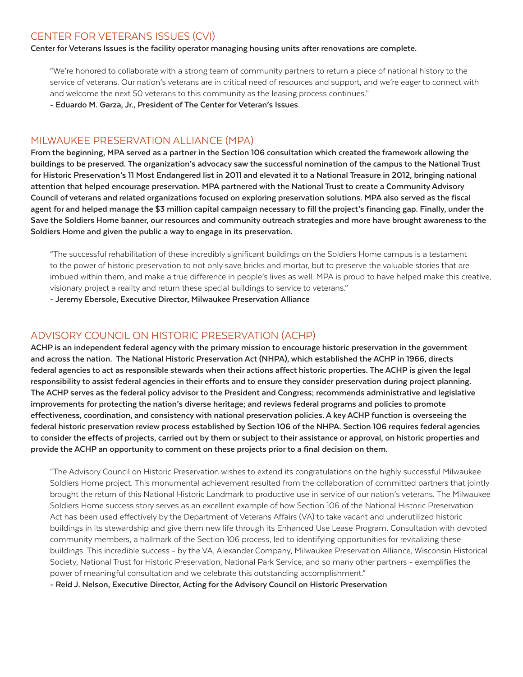# CENTER FOR VETERANS ISSUES (CVI)

**Center for Veterans Issues is the facility operator managing housing units after renovations are complete.**

"We're honored to collaborate with a strong team of community partners to return a piece of national history to the service of veterans. Our nation's veterans are in critical need of resources and support, and we're eager to connect with and welcome the next 50 veterans to this community as the leasing process continues."

**- Eduardo M. Garza, Jr., President of The Center for Veteran's Issues**

## MILWAUKEE PRESERVATION ALLIANCE (MPA)

**From the beginning, MPA served as a partner in the Section 106 consultation which created the framework allowing the buildings to be preserved. The organization's advocacy saw the successful nomination of the campus to the National Trust for Historic Preservation's 11 Most Endangered list in 2011 and elevated it to a National Treasure in 2012, bringing national attention that helped encourage preservation. MPA partnered with the National Trust to create a Community Advisory Council of veterans and related organizations focused on exploring preservation solutions. MPA also served as the fiscal agent for and helped manage the \$3 million capital campaign necessary to fill the project's financing gap. Finally, under the Save the Soldiers Home banner, our resources and community outreach strategies and more have brought awareness to the Soldiers Home and given the public a way to engage in its preservation.**

"The successful rehabilitation of these incredibly significant buildings on the Soldiers Home campus is a testament to the power of historic preservation to not only save bricks and mortar, but to preserve the valuable stories that are imbued within them, and make a true difference in people's lives as well. MPA is proud to have helped make this creative, visionary project a reality and return these special buildings to service to veterans."

**- Jeremy Ebersole, Executive Director, Milwaukee Preservation Alliance**

## ADVISORY COUNCIL ON HISTORIC PRESERVATION (ACHP)

**ACHP is an independent federal agency with the primary mission to encourage historic preservation in the government and across the nation. The National Historic Preservation Act (NHPA), which established the ACHP in 1966, directs federal agencies to act as responsible stewards when their actions affect historic properties. The ACHP is given the legal responsibility to assist federal agencies in their efforts and to ensure they consider preservation during project planning. The ACHP serves as the federal policy advisor to the President and Congress; recommends administrative and legislative improvements for protecting the nation's diverse heritage; and reviews federal programs and policies to promote effectiveness, coordination, and consistency with national preservation policies. A key ACHP function is overseeing the federal historic preservation review process established by Section 106 of the NHPA. Section 106 requires federal agencies to consider the effects of projects, carried out by them or subject to their assistance or approval, on historic properties and provide the ACHP an opportunity to comment on these projects prior to a final decision on them.**

"The Advisory Council on Historic Preservation wishes to extend its congratulations on the highly successful Milwaukee Soldiers Home project. This monumental achievement resulted from the collaboration of committed partners that jointly brought the return of this National Historic Landmark to productive use in service of our nation's veterans. The Milwaukee Soldiers Home success story serves as an excellent example of how Section 106 of the National Historic Preservation Act has been used effectively by the Department of Veterans Affairs (VA) to take vacant and underutilized historic buildings in its stewardship and give them new life through its Enhanced Use Lease Program. Consultation with devoted community members, a hallmark of the Section 106 process, led to identifying opportunities for revitalizing these buildings. This incredible success - by the VA, Alexander Company, Milwaukee Preservation Alliance, Wisconsin Historical Society, National Trust for Historic Preservation, National Park Service, and so many other partners - exemplifies the power of meaningful consultation and we celebrate this outstanding accomplishment."

**- Reid J. Nelson, Executive Director, Acting for the Advisory Council on Historic Preservation**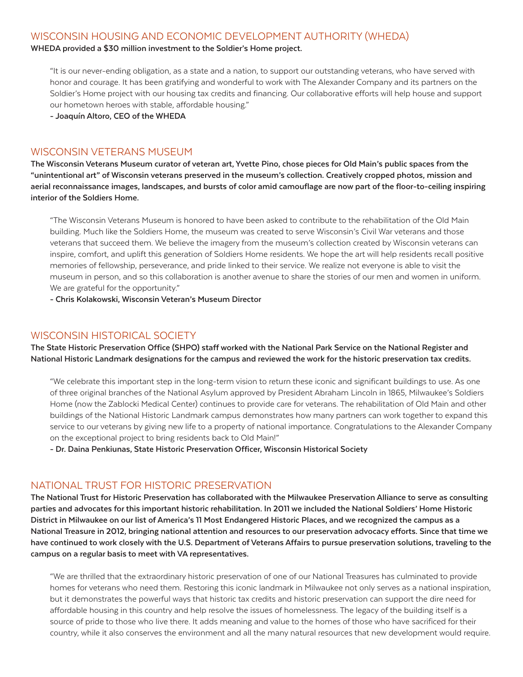## WISCONSIN HOUSING AND ECONOMIC DEVELOPMENT AUTHORITY (WHEDA)

**WHEDA provided a \$30 million investment to the Soldier's Home project.** 

"It is our never-ending obligation, as a state and a nation, to support our outstanding veterans, who have served with honor and courage. It has been gratifying and wonderful to work with The Alexander Company and its partners on the Soldier's Home project with our housing tax credits and financing. Our collaborative efforts will help house and support our hometown heroes with stable, affordable housing."

**- Joaquín Altoro, CEO of the WHEDA**

#### WISCONSIN VETERANS MUSEUM

**The Wisconsin Veterans Museum curator of veteran art, Yvette Pino, chose pieces for Old Main's public spaces from the "unintentional art" of Wisconsin veterans preserved in the museum's collection. Creatively cropped photos, mission and aerial reconnaissance images, landscapes, and bursts of color amid camouflage are now part of the floor-to-ceiling inspiring interior of the Soldiers Home.** 

"The Wisconsin Veterans Museum is honored to have been asked to contribute to the rehabilitation of the Old Main building. Much like the Soldiers Home, the museum was created to serve Wisconsin's Civil War veterans and those veterans that succeed them. We believe the imagery from the museum's collection created by Wisconsin veterans can inspire, comfort, and uplift this generation of Soldiers Home residents. We hope the art will help residents recall positive memories of fellowship, perseverance, and pride linked to their service. We realize not everyone is able to visit the museum in person, and so this collaboration is another avenue to share the stories of our men and women in uniform. We are grateful for the opportunity."

**- Chris Kolakowski, Wisconsin Veteran's Museum Director**

# WISCONSIN HISTORICAL SOCIETY

**The State Historic Preservation Office (SHPO) staff worked with the National Park Service on the National Register and National Historic Landmark designations for the campus and reviewed the work for the historic preservation tax credits.** 

"We celebrate this important step in the long-term vision to return these iconic and significant buildings to use. As one of three original branches of the National Asylum approved by President Abraham Lincoln in 1865, Milwaukee's Soldiers Home (now the Zablocki Medical Center) continues to provide care for veterans. The rehabilitation of Old Main and other buildings of the National Historic Landmark campus demonstrates how many partners can work together to expand this service to our veterans by giving new life to a property of national importance. Congratulations to the Alexander Company on the exceptional project to bring residents back to Old Main!"

**- Dr. Daina Penkiunas, State Historic Preservation Officer, Wisconsin Historical Society**

#### NATIONAL TRUST FOR HISTORIC PRESERVATION

**The National Trust for Historic Preservation has collaborated with the Milwaukee Preservation Alliance to serve as consulting parties and advocates for this important historic rehabilitation. In 2011 we included the National Soldiers' Home Historic District in Milwaukee on our list of America's 11 Most Endangered Historic Places, and we recognized the campus as a National Treasure in 2012, bringing national attention and resources to our preservation advocacy efforts. Since that time we have continued to work closely with the U.S. Department of Veterans Affairs to pursue preservation solutions, traveling to the campus on a regular basis to meet with VA representatives.** 

"We are thrilled that the extraordinary historic preservation of one of our National Treasures has culminated to provide homes for veterans who need them. Restoring this iconic landmark in Milwaukee not only serves as a national inspiration, but it demonstrates the powerful ways that historic tax credits and historic preservation can support the dire need for affordable housing in this country and help resolve the issues of homelessness. The legacy of the building itself is a source of pride to those who live there. It adds meaning and value to the homes of those who have sacrificed for their country, while it also conserves the environment and all the many natural resources that new development would require.